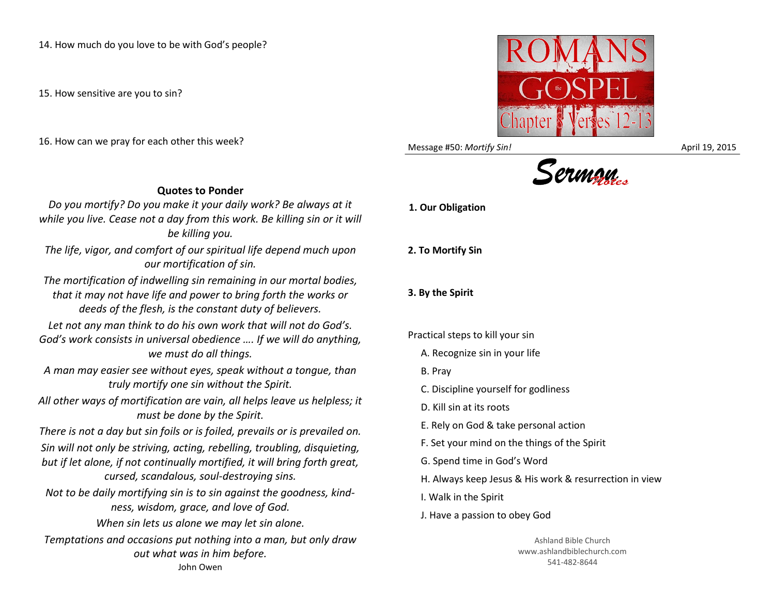14. How much do you love to be with God's people?

15. How sensitive are you to sin?

16. How can we pray for each other this week?



Message #50: *Mortify Sin!* April 19, 2015



*Do you mortify? Do you make it your daily work? Be always at it while you live. Cease not a day from this work. Be killing sin or it will be killing you.*

*The life, vigor, and comfort of our spiritual life depend much upon our mortification of sin.*

*The mortification of indwelling sin remaining in our mortal bodies, that it may not have life and power to bring forth the works or deeds of the flesh, is the constant duty of believers.*

*Let not any man think to do his own work that will not do God's. God's work consists in universal obedience …. If we will do anything, we must do all things.*

*A man may easier see without eyes, speak without a tongue, than truly mortify one sin without the Spirit.*

*All other ways of mortification are vain, all helps leave us helpless; it must be done by the Spirit.*

*There is not a day but sin foils or is foiled, prevails or is prevailed on. Sin will not only be striving, acting, rebelling, troubling, disquieting, but if let alone, if not continually mortified, it will bring forth great, cursed, scandalous, soul-destroying sins.*

*Not to be daily mortifying sin is to sin against the goodness, kindness, wisdom, grace, and love of God.*

*When sin lets us alone we may let sin alone. Temptations and occasions put nothing into a man, but only draw out what was in him before.* John Owen

**1. Our Obligation**

**2. To Mortify Sin**

**3. By the Spirit**

Practical steps to kill your sin

A. Recognize sin in your life

- B. Pray
- C. Discipline yourself for godliness
- D. Kill sin at its roots

E. Rely on God & take personal action

F. Set your mind on the things of the Spirit

G. Spend time in God's Word

H. Always keep Jesus & His work & resurrection in view

I. Walk in the Spirit

J. Have a passion to obey God

Ashland Bible Church www.ashlandbiblechurch.com 541-482-8644